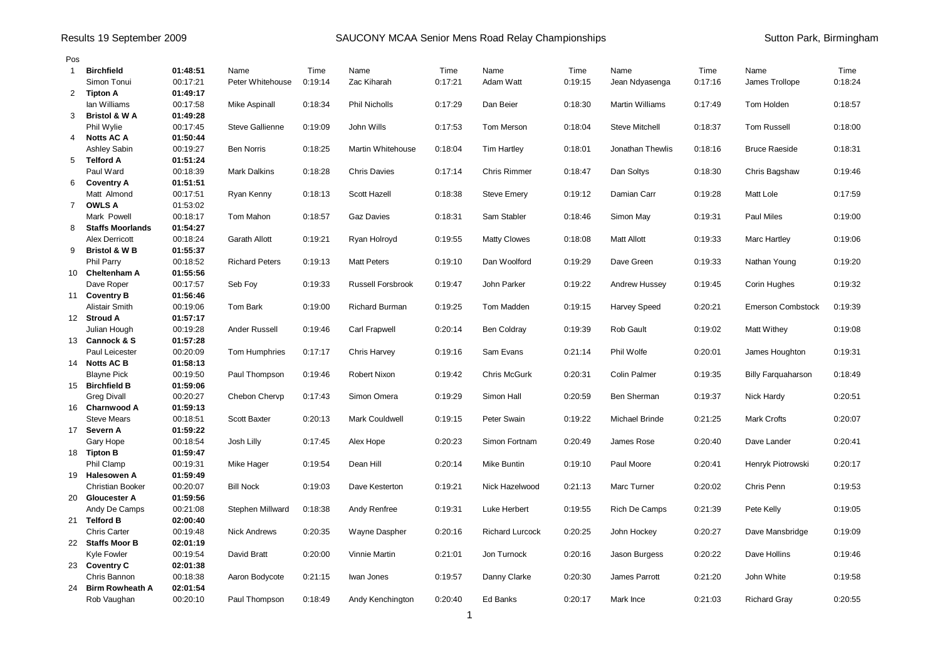## Results 19 September 2009 **SAUCONY MCAA Senior Mens Road Relay Championships** Sutton Park, Birmingham

| Pos            |                                |                      |                        |         |                          |         |                        |         |                        |         |                           |         |
|----------------|--------------------------------|----------------------|------------------------|---------|--------------------------|---------|------------------------|---------|------------------------|---------|---------------------------|---------|
| $\mathbf{1}$   | <b>Birchfield</b>              | 01:48:51             | Name                   | Time    | Name                     | Time    | Name                   | Time    | Name                   | Time    | Name                      | Time    |
|                | Simon Tonui                    | 00:17:21             | Peter Whitehouse       | 0:19:14 | Zac Kiharah              | 0:17:21 | Adam Watt              | 0:19:15 | Jean Ndyasenga         | 0:17:16 | James Trollope            | 0:18:24 |
| 2              | <b>Tipton A</b>                | 01:49:17             |                        |         |                          |         |                        |         |                        |         |                           |         |
|                | lan Williams                   | 00:17:58             | Mike Aspinall          | 0:18:34 | <b>Phil Nicholls</b>     | 0:17:29 | Dan Beier              | 0:18:30 | <b>Martin Williams</b> | 0:17:49 | Tom Holden                | 0:18:57 |
| 3              | <b>Bristol &amp; W A</b>       | 01:49:28             |                        |         |                          |         |                        |         |                        |         |                           |         |
|                | Phil Wylie                     | 00:17:45             | <b>Steve Gallienne</b> | 0:19:09 | John Wills               | 0:17:53 | Tom Merson             | 0:18:04 | <b>Steve Mitchell</b>  | 0:18:37 | <b>Tom Russell</b>        | 0:18:00 |
| 4              | <b>Notts AC A</b>              | 01:50:44             |                        |         |                          |         |                        |         |                        |         |                           |         |
|                | Ashley Sabin                   | 00:19:27             | <b>Ben Norris</b>      | 0:18:25 | Martin Whitehouse        | 0:18:04 | <b>Tim Hartley</b>     | 0:18.01 | Jonathan Thewlis       | 0:18:16 | <b>Bruce Raeside</b>      | 0:18:31 |
| 5              | <b>Telford A</b>               | 01:51:24             |                        |         |                          |         |                        |         |                        |         |                           |         |
|                | Paul Ward                      | 00:18:39             | <b>Mark Dalkins</b>    | 0:18:28 | <b>Chris Davies</b>      | 0:17:14 | <b>Chris Rimmer</b>    | 0:18:47 | Dan Soltys             | 0:18:30 | Chris Bagshaw             | 0:19:46 |
| 6              | <b>Coventry A</b>              | 01:51:51             |                        |         |                          |         |                        |         |                        |         |                           |         |
|                | Matt Almond                    | 00:17:51             | Ryan Kenny             | 0:18:13 | Scott Hazell             | 0:18:38 | <b>Steve Emery</b>     | 0:19:12 | Damian Carr            | 0:19:28 | Matt Lole                 | 0:17:59 |
| $\overline{7}$ | <b>OWLS A</b>                  | 01:53:02             |                        |         |                          |         |                        |         |                        |         |                           |         |
|                | Mark Powell                    | 00:18:17             | Tom Mahon              | 0:18:57 | <b>Gaz Davies</b>        | 0:18:31 | Sam Stabler            | 0:18:46 | Simon May              | 0:19:31 | Paul Miles                | 0:19:00 |
| 8              | <b>Staffs Moorlands</b>        | 01:54:27             |                        |         |                          |         |                        |         |                        |         |                           |         |
|                | <b>Alex Derricott</b>          | 00:18:24             | Garath Allott          | 0:19:21 | Ryan Holroyd             | 0:19:55 | <b>Matty Clowes</b>    | 0:18:08 | <b>Matt Allott</b>     | 0:19:33 | Marc Hartley              | 0:19:06 |
| 9              | <b>Bristol &amp; W B</b>       | 01:55:37             |                        |         |                          |         |                        |         |                        |         |                           |         |
|                | <b>Phil Parry</b>              | 00:18:52             | <b>Richard Peters</b>  | 0:19:13 | <b>Matt Peters</b>       | 0:19:10 | Dan Woolford           | 0:19:29 | Dave Green             | 0:19:33 | Nathan Young              | 0:19:20 |
|                | 10 Cheltenham A                | 01:55:56             |                        |         |                          |         |                        |         |                        |         |                           |         |
|                | Dave Roper                     | 00:17:57             | Seb Foy                | 0:19:33 | <b>Russell Forsbrook</b> | 0:19:47 | John Parker            | 0:19:22 | <b>Andrew Hussey</b>   | 0:19:45 | Corin Hughes              | 0:19:32 |
|                | 11 Coventry B                  | 01:56:46             |                        |         |                          |         |                        |         |                        |         |                           |         |
|                | Alistair Smith                 | 00:19:06             | Tom Bark               | 0:19:00 | <b>Richard Burman</b>    | 0:19:25 | Tom Madden             | 0:19:15 | <b>Harvey Speed</b>    | 0:20:21 | <b>Emerson Combstock</b>  | 0:19:39 |
|                | 12 Stroud A                    | 01:57:17             |                        |         |                          |         |                        |         |                        |         |                           |         |
|                | Julian Hough<br>13 Cannock & S | 00:19:28             | Ander Russell          | 0:19:46 | Carl Frapwell            | 0:20:14 | <b>Ben Coldray</b>     | 0:19:39 | Rob Gault              | 0:19:02 | Matt Withey               | 0:19:08 |
|                | Paul Leicester                 | 01:57:28<br>00:20:09 |                        | 0:17:17 |                          | 0:19:16 | Sam Evans              | 0:21:14 | Phil Wolfe             | 0:20:01 |                           | 0:19:31 |
|                | 14 Notts AC B                  | 01:58:13             | Tom Humphries          |         | <b>Chris Harvey</b>      |         |                        |         |                        |         | James Houghton            |         |
|                | <b>Blayne Pick</b>             | 00:19:50             | Paul Thompson          | 0:19:46 | Robert Nixon             | 0:19:42 | Chris McGurk           | 0.20.31 | <b>Colin Palmer</b>    | 0:19:35 | <b>Billy Farguaharson</b> | 0:18:49 |
|                | 15 Birchfield B                | 01:59:06             |                        |         |                          |         |                        |         |                        |         |                           |         |
|                | <b>Greg Divall</b>             | 00:20:27             | Chebon Chervp          | 0:17:43 | Simon Omera              | 0:19:29 | Simon Hall             | 0:20:59 | Ben Sherman            | 0:19:37 | Nick Hardy                | 0:20:51 |
| 16             | <b>Charnwood A</b>             | 01:59:13             |                        |         |                          |         |                        |         |                        |         |                           |         |
|                | <b>Steve Mears</b>             | 00:18:51             | <b>Scott Baxter</b>    | 0:20:13 | <b>Mark Couldwell</b>    | 0:19:15 | Peter Swain            | 0:19:22 | <b>Michael Brinde</b>  | 0.21:25 | <b>Mark Crofts</b>        | 0:20:07 |
|                | 17 Severn A                    | 01:59:22             |                        |         |                          |         |                        |         |                        |         |                           |         |
|                | Gary Hope                      | 00:18:54             | Josh Lilly             | 0:17:45 | Alex Hope                | 0:20:23 | Simon Fortnam          | 0:20:49 | James Rose             | 0:20:40 | Dave Lander               | 0:20:41 |
|                | 18 Tipton B                    | 01:59:47             |                        |         |                          |         |                        |         |                        |         |                           |         |
|                | Phil Clamp                     | 00:19:31             | Mike Hager             | 0:19:54 | Dean Hill                | 0:20:14 | Mike Buntin            | 0:19:10 | Paul Moore             | 0.20.41 | Henryk Piotrowski         | 0:20:17 |
|                | 19 Halesowen A                 | 01:59:49             |                        |         |                          |         |                        |         |                        |         |                           |         |
|                | <b>Christian Booker</b>        | 00:20:07             | <b>Bill Nock</b>       | 0:19:03 | Dave Kesterton           | 0:19:21 | Nick Hazelwood         | 0.21:13 | Marc Turner            | 0:20:02 | Chris Penn                | 0:19:53 |
|                | 20 Gloucester A                | 01:59:56             |                        |         |                          |         |                        |         |                        |         |                           |         |
|                | Andy De Camps                  | 00:21:08             | Stephen Millward       | 0:18:38 | Andy Renfree             | 0:19:31 | Luke Herbert           | 0:19:55 | Rich De Camps          | 0:21:39 | Pete Kelly                | 0:19:05 |
|                | 21 Telford B                   | 02:00:40             |                        |         |                          |         |                        |         |                        |         |                           |         |
|                | <b>Chris Carter</b>            | 00:19:48             | Nick Andrews           | 0:20:35 | Wayne Daspher            | 0:20:16 | <b>Richard Lurcock</b> | 0:20:25 | John Hockey            | 0:20:27 | Dave Mansbridge           | 0:19:09 |
|                | 22 Staffs Moor B               | 02:01:19             |                        |         |                          |         |                        |         |                        |         |                           |         |
|                | Kyle Fowler                    | 00:19:54             | David Bratt            | 0:20:00 | <b>Vinnie Martin</b>     | 0.21.01 | Jon Turnock            | 0:20:16 | Jason Burgess          | 0:20:22 | Dave Hollins              | 0:19:46 |
|                | 23 Coventry C                  | 02:01:38             |                        |         |                          |         |                        |         |                        |         |                           |         |
|                | Chris Bannon                   | 00:18:38             | Aaron Bodycote         | 0:21:15 | Iwan Jones               | 0:19:57 | Danny Clarke           | 0:20:30 | James Parrott          | 0:21:20 | John White                | 0:19:58 |
|                | 24 Birm Rowheath A             | 02:01:54             |                        |         |                          |         |                        |         |                        |         |                           |         |
|                | Rob Vaughan                    | 00:20:10             | Paul Thompson          | 0:18:49 | Andy Kenchington         | 0:20:40 | Ed Banks               | 0:20:17 | Mark Ince              | 0:21:03 | <b>Richard Gray</b>       | 0:20:55 |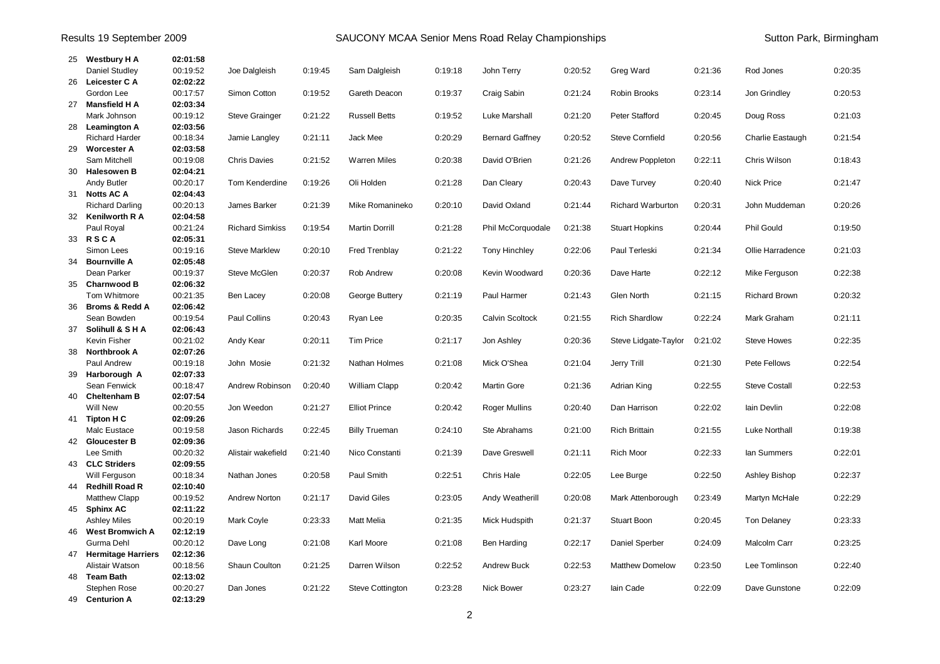| Results 19 September 2009 |                                      |                      |                        |         | SAUCONY MCAA Senior Mens Road Relay Championships |         |                        |         |                          |         |                      | Sutton Park, Birmingham |
|---------------------------|--------------------------------------|----------------------|------------------------|---------|---------------------------------------------------|---------|------------------------|---------|--------------------------|---------|----------------------|-------------------------|
|                           | 25 Westbury H A                      | 02:01:58             |                        |         |                                                   |         |                        |         |                          |         |                      |                         |
|                           | <b>Daniel Studley</b>                | 00:19:52             | Joe Dalgleish          | 0:19:45 | Sam Dalgleish                                     | 0:19:18 | John Terry             | 0:20:52 | Greg Ward                | 0:21:36 | Rod Jones            | 0:20:35                 |
|                           | 26 Leicester C A                     | 02:02:22             |                        |         |                                                   |         |                        |         |                          |         |                      |                         |
|                           | Gordon Lee                           | 00:17:57             | Simon Cotton           | 0:19:52 | Gareth Deacon                                     | 0:19:37 | Craig Sabin            | 0:21:24 | Robin Brooks             | 0:23:14 | Jon Grindley         | 0:20:53                 |
|                           | 27 Mansfield H A                     | 02:03:34             |                        |         |                                                   |         |                        |         |                          |         |                      |                         |
|                           | Mark Johnson                         | 00:19:12             | <b>Steve Grainger</b>  | 0:21:22 | <b>Russell Betts</b>                              | 0:19:52 | Luke Marshall          | 0:21:20 | Peter Stafford           | 0:20:45 | Doug Ross            | 0:21:03                 |
|                           | 28 Leamington A                      | 02:03:56             |                        |         |                                                   |         |                        |         |                          |         |                      |                         |
|                           | <b>Richard Harder</b>                | 00:18:34             | Jamie Langley          | 0:21:11 | Jack Mee                                          | 0:20:29 | <b>Bernard Gaffney</b> | 0:20:52 | Steve Cornfield          | 0:20:56 | Charlie Eastaugh     | 0:21:54                 |
|                           | 29 Worcester A<br>Sam Mitchell       | 02:03:58<br>00:19:08 | <b>Chris Davies</b>    | 0:21:52 | <b>Warren Miles</b>                               | 0:20:38 | David O'Brien          | 0:21:26 | Andrew Poppleton         | 0:22:11 | Chris Wilson         | 0:18:43                 |
| 30                        | <b>Halesowen B</b>                   | 02:04:21             |                        |         |                                                   |         |                        |         |                          |         |                      |                         |
|                           | Andy Butler                          | 00:20:17             | Tom Kenderdine         | 0:19:26 | Oli Holden                                        | 0.21.28 | Dan Cleary             | 0:20:43 | Dave Turvey              | 0:20:40 | <b>Nick Price</b>    | 0:21:47                 |
|                           | 31 Notts AC A                        | 02:04:43             |                        |         |                                                   |         |                        |         |                          |         |                      |                         |
|                           | <b>Richard Darling</b>               | 00:20:13             | James Barker           | 0:21:39 | Mike Romanineko                                   | 0:20:10 | David Oxland           | 0:21:44 | <b>Richard Warburton</b> | 0:20:31 | John Muddeman        | 0:20:26                 |
|                           | 32 Kenilworth R A                    | 02:04:58             |                        |         |                                                   |         |                        |         |                          |         |                      |                         |
|                           | Paul Royal                           | 00:21:24             | <b>Richard Simkiss</b> | 0:19:54 | Martin Dorrill                                    | 0:21:28 | Phil McCorquodale      | 0:21:38 | <b>Stuart Hopkins</b>    | 0:20:44 | <b>Phil Gould</b>    | 0:19:50                 |
|                           | 33 RSCA                              | 02:05:31             |                        |         |                                                   |         |                        |         |                          |         |                      |                         |
|                           | Simon Lees                           | 00:19:16             | <b>Steve Marklew</b>   | 0:20:10 | <b>Fred Trenblay</b>                              | 0.21:22 | Tony Hinchley          | 0:22:06 | Paul Terleski            | 0:21:34 | Ollie Harradence     | 0:21:03                 |
| 34                        | <b>Bournville A</b>                  | 02:05:48             |                        |         |                                                   |         |                        |         |                          |         |                      |                         |
|                           | Dean Parker                          | 00:19:37             | Steve McGlen           | 0:20:37 | Rob Andrew                                        | 0:20:08 | Kevin Woodward         | 0:20:36 | Dave Harte               | 0:22:12 | Mike Ferguson        | 0:22:38                 |
|                           | 35 Charnwood B                       | 02:06:32             |                        |         |                                                   |         |                        |         |                          |         |                      |                         |
|                           | Tom Whitmore                         | 00:21:35             | Ben Lacey              | 0:20:08 | George Buttery                                    | 0:21:19 | Paul Harmer            | 0:21:43 | Glen North               | 0.21:15 | <b>Richard Brown</b> | 0:20:32                 |
|                           | 36 Broms & Redd A                    | 02:06:42             |                        |         |                                                   |         |                        |         |                          |         |                      |                         |
|                           | Sean Bowden<br>37 Solihull & SHA     | 00:19:54<br>02:06:43 | Paul Collins           | 0:20:43 | Ryan Lee                                          | 0:20:35 | Calvin Scoltock        | 0:21:55 | <b>Rich Shardlow</b>     | 0:22:24 | Mark Graham          | 0:21:11                 |
|                           | Kevin Fisher                         | 00:21:02             | Andy Kear              | 0:20:11 | <b>Tim Price</b>                                  | 0:21:17 | Jon Ashley             | 0:20:36 | Steve Lidgate-Taylor     | 0:21:02 | <b>Steve Howes</b>   | 0:22:35                 |
|                           | 38 Northbrook A                      | 02:07:26             |                        |         |                                                   |         |                        |         |                          |         |                      |                         |
|                           | Paul Andrew                          | 00:19:18             | John Mosie             | 0:21:32 | Nathan Holmes                                     | 0.21:08 | Mick O'Shea            | 0:21:04 | Jerry Trill              | 0:21:30 | Pete Fellows         | 0:22:54                 |
|                           | 39 Harborough A                      | 02:07:33             |                        |         |                                                   |         |                        |         |                          |         |                      |                         |
|                           | Sean Fenwick                         | 00:18:47             | Andrew Robinson        | 0:20:40 | <b>William Clapp</b>                              | 0:20:42 | <b>Martin Gore</b>     | 0:21:36 | Adrian King              | 0:22:55 | <b>Steve Costall</b> | 0:22:53                 |
|                           | 40 Cheltenham B                      | 02:07:54             |                        |         |                                                   |         |                        |         |                          |         |                      |                         |
|                           | <b>Will New</b>                      | 00:20:55             | Jon Weedon             | 0:21:27 | <b>Elliot Prince</b>                              | 0.20.42 | Roger Mullins          | 0:20:40 | Dan Harrison             | 0:22:02 | lain Devlin          | 0:22:08                 |
|                           | 41 Tipton H C                        | 02:09:26             |                        |         |                                                   |         |                        |         |                          |         |                      |                         |
|                           | Malc Eustace                         | 00:19:58             | Jason Richards         | 0:22:45 | <b>Billy Trueman</b>                              | 0:24:10 | Ste Abrahams           | 0:21:00 | <b>Rich Brittain</b>     | 0:21:55 | <b>Luke Northall</b> | 0:19:38                 |
|                           | 42 Gloucester B                      | 02:09:36             |                        |         |                                                   |         |                        |         |                          |         |                      |                         |
|                           | Lee Smith                            | 00:20:32             | Alistair wakefield     | 0:21:40 | Nico Constanti                                    | 0:21:39 | Dave Greswell          | 0:21:11 | Rich Moor                | 0:22:33 | lan Summers          | 0:22:01                 |
|                           | 43 CLC Striders                      | 02:09:55             |                        |         |                                                   |         |                        |         |                          |         |                      |                         |
|                           | Will Ferguson                        | 00:18:34             | Nathan Jones           | 0:20:58 | Paul Smith                                        | 0:22:51 | Chris Hale             | 0:22:05 | Lee Burge                | 0:22:50 | Ashley Bishop        | 0:22:37                 |
|                           | 44 Redhill Road R                    | 02:10:40<br>00:19:52 |                        | 0:21:17 | David Giles                                       | 0:23:05 |                        | 0:20:08 |                          | 0:23:49 |                      | 0:22:29                 |
|                           | <b>Matthew Clapp</b><br>45 Sphinx AC | 02:11:22             | <b>Andrew Norton</b>   |         |                                                   |         | Andy Weatherill        |         | Mark Attenborough        |         | Martyn McHale        |                         |
|                           | <b>Ashley Miles</b>                  | 00:20:19             | Mark Coyle             | 0:23:33 | <b>Matt Melia</b>                                 | 0:21:35 | Mick Hudspith          | 0:21:37 | Stuart Boon              | 0:20:45 | Ton Delaney          | 0:23:33                 |
|                           | 46 West Bromwich A                   | 02:12:19             |                        |         |                                                   |         |                        |         |                          |         |                      |                         |
|                           | Gurma Dehl                           | 00:20:12             | Dave Long              | 0:21:08 | Karl Moore                                        | 0.21:08 | Ben Harding            | 0:22:17 | Daniel Sperber           | 0:24:09 | Malcolm Carr         | 0:23:25                 |
|                           | 47 Hermitage Harriers                | 02:12:36             |                        |         |                                                   |         |                        |         |                          |         |                      |                         |
|                           | Alistair Watson                      | 00:18:56             | Shaun Coulton          | 0:21:25 | Darren Wilson                                     | 0:22:52 | <b>Andrew Buck</b>     | 0:22:53 | <b>Matthew Domelow</b>   | 0:23:50 | Lee Tomlinson        | 0:22:40                 |
|                           | 48 Team Bath                         | 02:13:02             |                        |         |                                                   |         |                        |         |                          |         |                      |                         |
|                           | Stephen Rose                         | 00:20:27             | Dan Jones              | 0:21:22 | Steve Cottington                                  | 0:23:28 | <b>Nick Bower</b>      | 0:23:27 | lain Cade                | 0:22:09 | Dave Gunstone        | 0:22:09                 |
|                           | 49 Centurion A                       | 02:13:29             |                        |         |                                                   |         |                        |         |                          |         |                      |                         |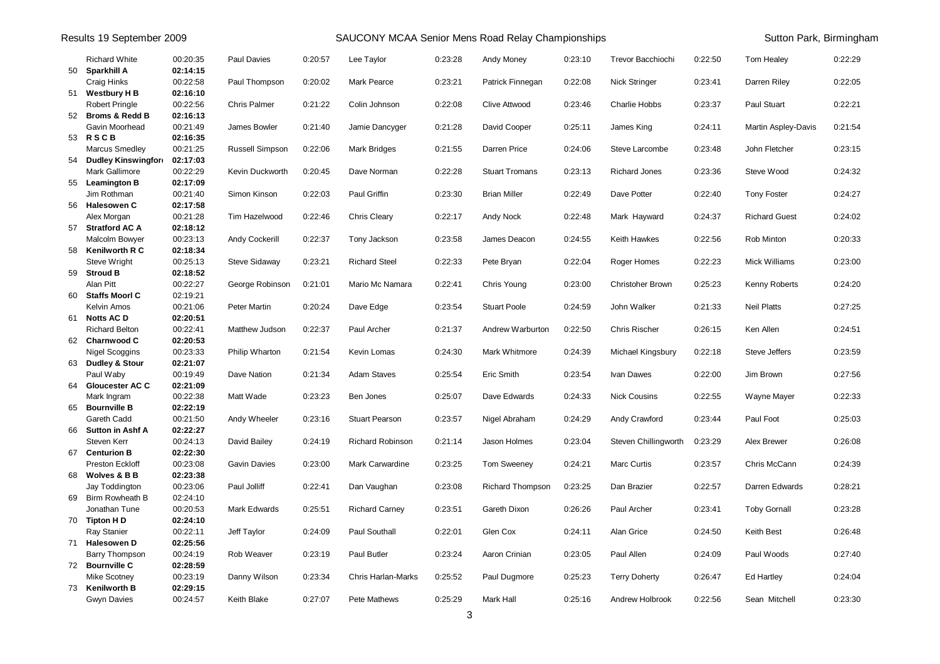| Results 19 September 2009 |                                         |                      |                        |         | SAUCONY MCAA Senior Mens Road Relay Championships | Sutton Park, Birmingham |                       |         |                         |         |                      |         |
|---------------------------|-----------------------------------------|----------------------|------------------------|---------|---------------------------------------------------|-------------------------|-----------------------|---------|-------------------------|---------|----------------------|---------|
|                           | <b>Richard White</b><br>50 Sparkhill A  | 00:20:35<br>02:14:15 | Paul Davies            | 0:20:57 | Lee Taylor                                        | 0:23:28                 | Andy Money            | 0:23:10 | Trevor Bacchiochi       | 0:22:50 | Tom Healey           | 0:22:29 |
|                           | Craig Hinks                             | 00:22:58             | Paul Thompson          | 0:20:02 | Mark Pearce                                       | 0:23:21                 | Patrick Finnegan      | 0:22:08 | <b>Nick Stringer</b>    | 0:23:41 | Darren Riley         | 0:22:05 |
|                           | 51 Westbury H B                         | 02:16:10             |                        |         |                                                   |                         |                       |         |                         |         |                      |         |
|                           | <b>Robert Pringle</b>                   | 00:22:56             | Chris Palmer           | 0:21:22 | Colin Johnson                                     | 0:22:08                 | Clive Attwood         | 0:23:46 | <b>Charlie Hobbs</b>    | 0:23:37 | Paul Stuart          | 0:22:21 |
|                           | 52 Broms & Redd B                       | 02:16:13             |                        |         |                                                   |                         |                       |         |                         |         |                      |         |
|                           | Gavin Moorhead                          | 00:21:49             | James Bowler           | 0:21:40 | Jamie Dancyger                                    | 0:21:28                 | David Cooper          | 0:25:11 | James King              | 0:24:11 | Martin Aspley-Davis  | 0:21:54 |
|                           | 53 RSCB                                 | 02:16:35             |                        |         |                                                   |                         |                       |         |                         |         |                      |         |
|                           | <b>Marcus Smedley</b>                   | 00:21:25             | <b>Russell Simpson</b> | 0:22:06 | <b>Mark Bridges</b>                               | 0:21:55                 | Darren Price          | 0:24:06 | Steve Larcombe          | 0:23:48 | John Fletcher        | 0:23:15 |
|                           | 54 Dudley Kinswingfor<br>Mark Gallimore | 02:17:03<br>00:22:29 | Kevin Duckworth        | 0:20:45 | Dave Norman                                       | 0:22:28                 | <b>Stuart Tromans</b> | 0:23:13 | <b>Richard Jones</b>    | 0:23:36 | Steve Wood           | 0:24:32 |
|                           | 55 Leamington B                         | 02:17:09             |                        |         |                                                   |                         |                       |         |                         |         |                      |         |
|                           | Jim Rothman                             | 00:21:40             | Simon Kinson           | 0:22:03 | Paul Griffin                                      | 0:23:30                 | <b>Brian Miller</b>   | 0:22:49 | Dave Potter             | 0:22:40 | <b>Tony Foster</b>   | 0:24:27 |
|                           | 56 Halesowen C                          | 02:17:58             |                        |         |                                                   |                         |                       |         |                         |         |                      |         |
|                           | Alex Morgan                             | 00:21:28             | Tim Hazelwood          | 0:22:46 | <b>Chris Cleary</b>                               | 0:22:17                 | Andy Nock             | 0:22:48 | Mark Hayward            | 0:24:37 | <b>Richard Guest</b> | 0:24:02 |
| 57                        | <b>Stratford AC A</b>                   | 02:18:12             |                        |         |                                                   |                         |                       |         |                         |         |                      |         |
|                           | Malcolm Bowyer                          | 00:23:13             | Andy Cockerill         | 0:22:37 | Tony Jackson                                      | 0:23:58                 | James Deacon          | 0:24:55 | Keith Hawkes            | 0:22:56 | Rob Minton           | 0:20:33 |
| 58                        | <b>Kenilworth R C</b>                   | 02:18:34             |                        |         |                                                   |                         |                       |         |                         |         |                      |         |
|                           | Steve Wright                            | 00:25:13             | <b>Steve Sidaway</b>   | 0:23:21 | <b>Richard Steel</b>                              | 0:22:33                 | Pete Bryan            | 0.22:04 | Roger Homes             | 0:22:23 | Mick Williams        | 0:23:00 |
| 59                        | <b>Stroud B</b>                         | 02:18:52             |                        |         |                                                   |                         |                       |         |                         |         |                      |         |
|                           | Alan Pitt<br>60 Staffs Moorl C          | 00:22:27<br>02:19:21 | George Robinson        | 0:21:01 | Mario Mc Namara                                   | 0:22:41                 | Chris Young           | 0:23:00 | <b>Christoher Brown</b> | 0:25:23 | Kenny Roberts        | 0:24:20 |
|                           | Kelvin Amos                             | 00:21:06             | Peter Martin           | 0:20:24 | Dave Edge                                         | 0:23:54                 | <b>Stuart Poole</b>   | 0:24:59 | John Walker             | 0:21:33 | <b>Neil Platts</b>   | 0:27:25 |
|                           | 61 Notts AC D                           | 02:20:51             |                        |         |                                                   |                         |                       |         |                         |         |                      |         |
|                           | <b>Richard Belton</b>                   | 00:22:41             | Matthew Judson         | 0:22:37 | Paul Archer                                       | 0:21:37                 | Andrew Warburton      | 0:22:50 | <b>Chris Rischer</b>    | 0:26:15 | Ken Allen            | 0:24:51 |
|                           | 62 Charnwood C                          | 02:20:53             |                        |         |                                                   |                         |                       |         |                         |         |                      |         |
|                           | Nigel Scoggins                          | 00:23:33             | Philip Wharton         | 0:21:54 | Kevin Lomas                                       | 0.24.30                 | Mark Whitmore         | 0:24:39 | Michael Kingsbury       | 0:22:18 | <b>Steve Jeffers</b> | 0:23:59 |
|                           | 63 Dudley & Stour                       | 02:21:07             |                        |         |                                                   |                         |                       |         |                         |         |                      |         |
|                           | Paul Waby                               | 00:19:49             | Dave Nation            | 0:21:34 | <b>Adam Staves</b>                                | 0:25:54                 | Eric Smith            | 0:23:54 | Ivan Dawes              | 0:22:00 | Jim Brown            | 0:27:56 |
| 64                        | <b>Gloucester AC C</b>                  | 02:21:09             |                        |         |                                                   |                         |                       |         |                         |         |                      |         |
|                           | Mark Ingram                             | 00:22:38             | Matt Wade              | 0:23:23 | Ben Jones                                         | 0:25:07                 | Dave Edwards          | 0:24:33 | <b>Nick Cousins</b>     | 0:22:55 | Wayne Mayer          | 0:22:33 |
|                           | 65 Bournville B                         | 02:22:19             |                        |         |                                                   |                         |                       |         |                         |         |                      |         |
|                           | Gareth Cadd                             | 00:21:50             | Andy Wheeler           | 0:23:16 | <b>Stuart Pearson</b>                             | 0:23:57                 | Nigel Abraham         | 0:24:29 | Andy Crawford           | 0:23:44 | Paul Foot            | 0:25:03 |
| 66                        | <b>Sutton in Ashf A</b><br>Steven Kerr  | 02:22:27<br>00:24:13 | David Bailey           | 0:24:19 | <b>Richard Robinson</b>                           | 0.21.14                 | Jason Holmes          | 0:23:04 | Steven Chillingworth    | 0:23:29 | Alex Brewer          | 0:26:08 |
|                           | 67 Centurion B                          | 02:22:30             |                        |         |                                                   |                         |                       |         |                         |         |                      |         |
|                           | Preston Eckloff                         | 00:23:08             | <b>Gavin Davies</b>    | 0:23:00 | Mark Carwardine                                   | 0:23:25                 | <b>Tom Sweeney</b>    | 0.24.21 | Marc Curtis             | 0:23:57 | Chris McCann         | 0:24:39 |
| 68                        | <b>Wolves &amp; B B</b>                 | 02:23:38             |                        |         |                                                   |                         |                       |         |                         |         |                      |         |
|                           | Jay Toddington                          | 00:23:06             | Paul Jolliff           | 0:22:41 | Dan Vaughan                                       | 0:23:08                 | Richard Thompson      | 0:23:25 | Dan Brazier             | 0:22:57 | Darren Edwards       | 0:28:21 |
| 69                        | Birm Rowheath B                         | 02:24:10             |                        |         |                                                   |                         |                       |         |                         |         |                      |         |
|                           | Jonathan Tune                           | 00:20:53             | <b>Mark Edwards</b>    | 0:25:51 | <b>Richard Carney</b>                             | 0:23:51                 | Gareth Dixon          | 0:26:26 | Paul Archer             | 0:23:41 | <b>Toby Gornall</b>  | 0:23:28 |
|                           | 70 Tipton H D                           | 02:24:10             |                        |         |                                                   |                         |                       |         |                         |         |                      |         |
|                           | Ray Stanier                             | 00:22:11             | Jeff Taylor            | 0:24:09 | <b>Paul Southall</b>                              | 0:22:01                 | Glen Cox              | 0:24:11 | Alan Grice              | 0:24:50 | Keith Best           | 0:26:48 |
|                           | 71 Halesowen D                          | 02:25:56             |                        |         |                                                   |                         |                       |         |                         |         |                      |         |
|                           | Barry Thompson<br>72 Bournville C       | 00:24:19<br>02:28:59 | Rob Weaver             | 0:23:19 | Paul Butler                                       | 0:23:24                 | Aaron Crinian         | 0:23:05 | Paul Allen              | 0:24:09 | Paul Woods           | 0:27:40 |
|                           | <b>Mike Scotney</b>                     | 00:23:19             | Danny Wilson           | 0:23:34 | <b>Chris Harlan-Marks</b>                         | 0:25:52                 | Paul Dugmore          | 0:25:23 | <b>Terry Doherty</b>    | 0.26.47 | <b>Ed Hartley</b>    | 0:24:04 |
|                           | 73 Kenilworth B                         | 02:29:15             |                        |         |                                                   |                         |                       |         |                         |         |                      |         |
|                           | <b>Gwyn Davies</b>                      | 00:24:57             | Keith Blake            | 0:27:07 | Pete Mathews                                      | 0:25:29                 | Mark Hall             | 0:25:16 | Andrew Holbrook         | 0:22:56 | Sean Mitchell        | 0:23:30 |
|                           |                                         |                      |                        |         |                                                   |                         |                       |         |                         |         |                      |         |